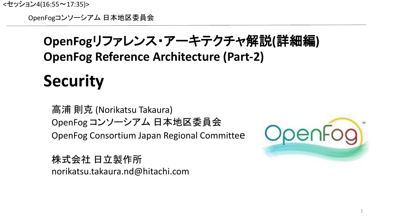<セッション4(16:55~17:35)>

OpenFogコンソーシアム 日本地区委員会

# **OpenFog**リファレンス・アーキテクチャ解説**(**詳細編**) OpenFog Reference Architecture (Part-2)**

**Security**

高浦 則克 (Norikatsu Takaura) OpenFog コンソーシアム 日本地区委員会 OpenFog Consortium Japan Regional Committee

株式会社 日立製作所 norikatsu.takaura.nd@hitachi.com

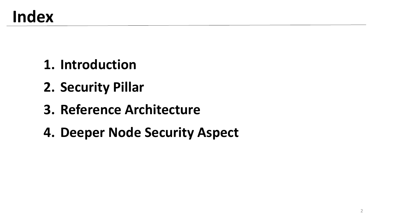- **1. Introduction**
- **2. Security Pillar**
- **3. Reference Architecture**
- **4. Deeper Node Security Aspect**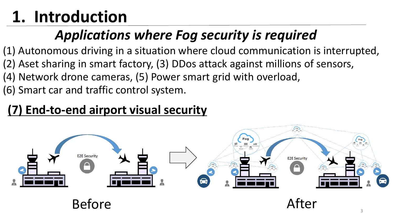# **1. Introduction**

## *Applications where Fog security is required*

(1) Autonomous driving in a situation where cloud communication is interrupted, (2) Aset sharing in smart factory, (3) DDos attack against millions of sensors, (4) Network drone cameras, (5) Power smart grid with overload, (6) Smart car and traffic control system.

#### **(7) End-to-end airport visual security**

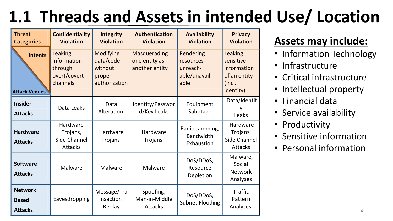# **1.1 Threads and Assets in intended Use/ Location**

| <b>Threat</b><br><b>Categories</b>               | <b>Confidentiality</b><br><b>Violation</b>                    | <b>Integrity</b><br><b>Violation</b>                         | <b>Authentication</b><br><b>Violation</b>              | <b>Availability</b><br><b>Violation</b>                     | <b>Privacy</b><br><b>Violation</b>                                         |
|--------------------------------------------------|---------------------------------------------------------------|--------------------------------------------------------------|--------------------------------------------------------|-------------------------------------------------------------|----------------------------------------------------------------------------|
| <b>Intents</b><br><b>Attack Venues</b>           | Leaking<br>information<br>through<br>overt/covert<br>channels | Modifying<br>data/code<br>without<br>proper<br>authorization | <b>Masquerading</b><br>one entity as<br>another entity | Rendering<br>resources<br>unreach-<br>able/unavail-<br>able | Leaking<br>sensitive<br>information<br>of an entity<br>(incl.<br>identity) |
| <b>Insider</b><br><b>Attacks</b>                 | Data Leaks                                                    | Data<br>Alteration                                           | Identity/Passwor<br>d/Key Leaks                        | Equipment<br>Sabotage                                       | Data/Identit<br>Leaks                                                      |
| <b>Hardware</b><br><b>Attacks</b>                | Hardware<br>Trojans,<br>Side Channel<br><b>Attacks</b>        | Hardware<br>Trojans                                          | Hardware<br>Trojans                                    | Radio Jamming,<br><b>Bandwidth</b><br>Exhaustion            | Hardware<br>Trojans,<br>Side Channel<br><b>Attacks</b>                     |
| <b>Software</b><br><b>Attacks</b>                | Malware                                                       | Malware                                                      | Malware                                                | DoS/DDoS,<br>Resource<br>Depletion                          | Malware,<br>Social<br><b>Network</b><br>Analyses                           |
| <b>Network</b><br><b>Based</b><br><b>Attacks</b> | Eavesdropping                                                 | Message/Tra<br>nsaction<br>Replay                            | Spoofing,<br>Man-in-Middle<br><b>Attacks</b>           | DoS/DDoS,<br><b>Subnet Flooding</b>                         | <b>Traffic</b><br>Pattern<br>Analyses                                      |

#### **Assets may include:**

- Information Technology
- Infrastructure
- Critical infrastructure
- Intellectual property
- Financial data
- Service availability
- Productivity
- Sensitive information
- Personal information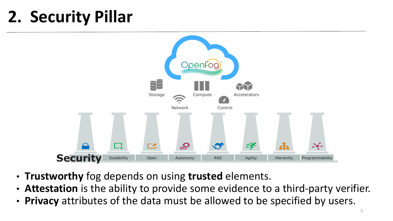# **2. Security Pillar**



- **Trustworthy** fog depends on using **trusted** elements.
- **Attestation** is the ability to provide some evidence to a third-party verifier.
- **Privacy** attributes of the data must be allowed to be specified by users.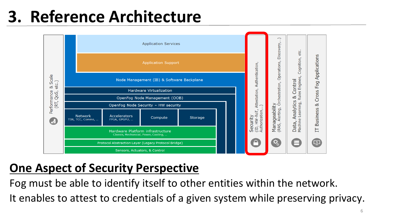## **3. Reference Architecture**



#### **One Aspect of Security Perspective**

Fog must be able to identify itself to other entities within the network. It enables to attest to credentials of a given system while preserving privacy.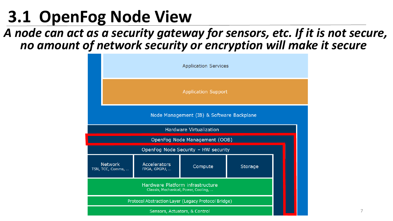## **3.1 OpenFog Node View**

#### *A node can act as a security gateway for sensors, etc. If it is not secure, no amount of network security or encryption will make it secure*

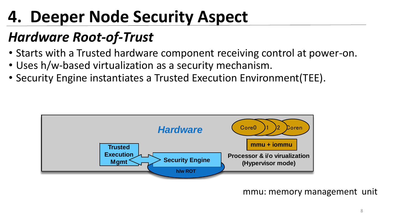# **4. Deeper Node Security Aspect**

## *Hardware Root-of-Trust*

- Starts with a Trusted hardware component receiving control at power-on.
- Uses h/w-based virtualization as a security mechanism.
- Security Engine instantiates a Trusted Execution Environment(TEE).



#### mmu: memory management unit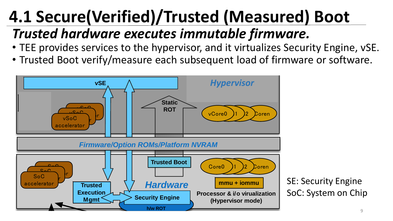# **4.1 Secure(Verified)/Trusted (Measured) Boot**

### *Trusted hardware executes immutable firmware.*

- TEE provides services to the hypervisor, and it virtualizes Security Engine, vSE.
- Trusted Boot verify/measure each subsequent load of firmware or software.

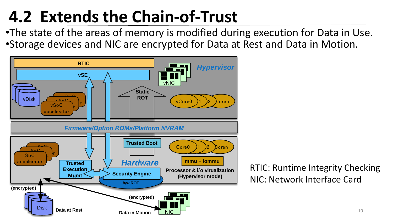# **4.2 Extends the Chain-of-Trust**

•The state of the areas of memory is modified during execution for Data in Use. •Storage devices and NIC are encrypted for Data at Rest and Data in Motion.



RTIC: Runtime Integrity Checking NIC: Network Interface Card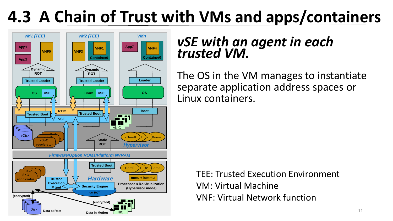# **4.3 A Chain of Trust with VMs and apps/containers**



#### *vSE with an agent in each trusted VM.*

The OS in the VM manages to instantiate separate application address spaces or Linux containers.

TEE: Trusted Execution Environment VM: Virtual Machine VNF: Virtual Network function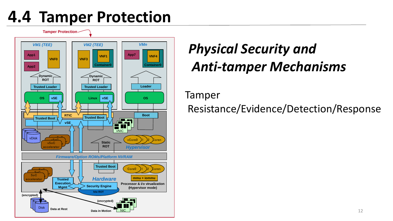## **4.4 Tamper Protection**

*VM1 (TEE)* **App1 App2 VNF0 OS Dynamic ROT Trusted Loader vSE Trusted Boot vSE** *VM2 (TEE)* **VNF1 Linux Dynamic ROT Trusted Loader vSE Trusted Boot Container0 VNF3** *VMn* **VNF4 OS Loader Boot Container0 App7**  $\begin{array}{c} \begin{array}{c} \text{N} \\ \text{VCore0} \end{array} \end{array}$  ( $\begin{array}{c} \text{vCore0} \\ \text{N} \end{array}$  ) 1  $\begin{array}{c} \text{2} \\ \text{2} \end{array}$  coren  $\overline{AM}$ <br>Core  $\overline{0}$   $\overline{1}$   $\overline{2}$   $\overline{2}$   $\overline{C}$ **h/w ROT Security Engine mmu + iommu Processor & i/o virualization (Hypervisor mode) Trusted Execution Mgmt** vDisk  $\sum$ Disk NIC NIC <u>an</u> l Nic nico<br>Nicolas de Santo NIC NICO ( vNIC *Hypervisor Hardware Firmware/Option ROMs/Platform NVRAM* **Trusted Boot Static ROT Data at Rest Data in Motion (encrypted) (encrypted) Tamper Protection** SoC  $\frac{2ac}{c}$  )r  $SoC$ **accelerato** <u>vere</u>  $\frac{1}{\sqrt{2}}\left(\frac{1}{\sqrt{2}}\right)^{1/2}$ ccelerato

## *Physical Security and Anti-tamper Mechanisms*

Tamper

Resistance/Evidence/Detection/Response